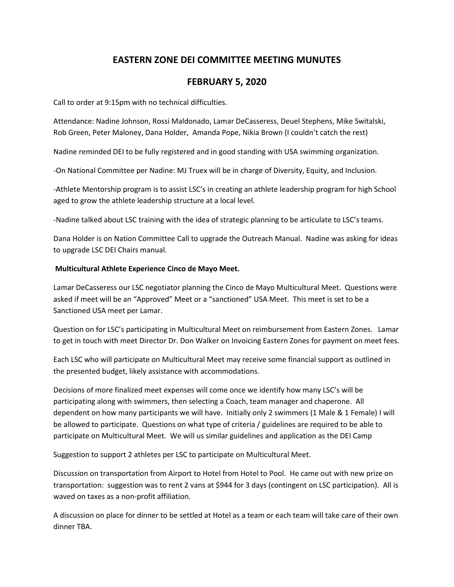## **EASTERN ZONE DEI COMMITTEE MEETING MUNUTES**

## **FEBRUARY 5, 2020**

Call to order at 9:15pm with no technical difficulties.

Attendance: Nadine Johnson, Rossi Maldonado, Lamar DeCasseress, Deuel Stephens, Mike Switalski, Rob Green, Peter Maloney, Dana Holder, Amanda Pope, Nikia Brown (I couldn't catch the rest)

Nadine reminded DEI to be fully registered and in good standing with USA swimming organization.

-On National Committee per Nadine: MJ Truex will be in charge of Diversity, Equity, and Inclusion.

-Athlete Mentorship program is to assist LSC's in creating an athlete leadership program for high School aged to grow the athlete leadership structure at a local level.

-Nadine talked about LSC training with the idea of strategic planning to be articulate to LSC's teams.

Dana Holder is on Nation Committee Call to upgrade the Outreach Manual. Nadine was asking for ideas to upgrade LSC DEI Chairs manual.

## **Multicultural Athlete Experience Cinco de Mayo Meet.**

Lamar DeCasseress our LSC negotiator planning the Cinco de Mayo Multicultural Meet. Questions were asked if meet will be an "Approved" Meet or a "sanctioned" USA Meet. This meet is set to be a Sanctioned USA meet per Lamar.

Question on for LSC's participating in Multicultural Meet on reimbursement from Eastern Zones. Lamar to get in touch with meet Director Dr. Don Walker on Invoicing Eastern Zones for payment on meet fees.

Each LSC who will participate on Multicultural Meet may receive some financial support as outlined in the presented budget, likely assistance with accommodations.

Decisions of more finalized meet expenses will come once we identify how many LSC's will be participating along with swimmers, then selecting a Coach, team manager and chaperone. All dependent on how many participants we will have. Initially only 2 swimmers (1 Male & 1 Female) I will be allowed to participate. Questions on what type of criteria / guidelines are required to be able to participate on Multicultural Meet. We will us similar guidelines and application as the DEI Camp

Suggestion to support 2 athletes per LSC to participate on Multicultural Meet.

Discussion on transportation from Airport to Hotel from Hotel to Pool. He came out with new prize on transportation: suggestion was to rent 2 vans at \$944 for 3 days (contingent on LSC participation). All is waved on taxes as a non-profit affiliation.

A discussion on place for dinner to be settled at Hotel as a team or each team will take care of their own dinner TBA.